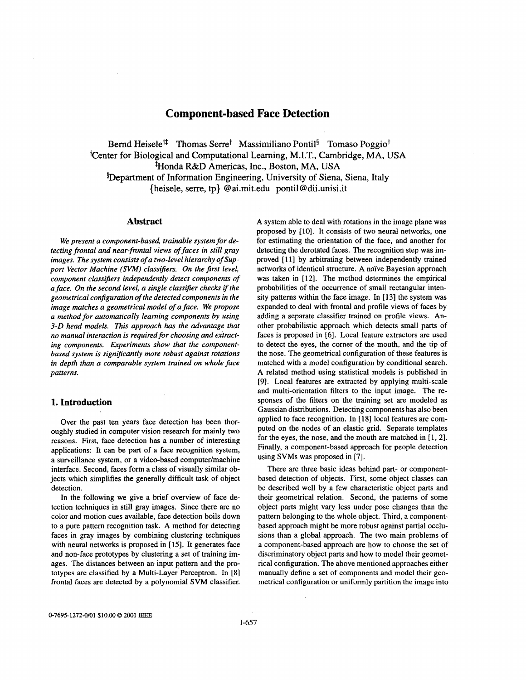# **Component-based Face Detection**

Bernd Heisele<sup>††</sup> Thomas Serre<sup>†</sup> Massimiliano Pontil<sup>§</sup> Tomaso Poggio<sup>†</sup> +Center for Biological and Computational Learning, M.I.T., Cambridge, MA, USA <sup>‡</sup>Honda R&D Americas, Inc., Boston, MA, USA §Department of Information Engineering, University of Siena, Siena, Italy {heisele, serre, tp} [@ai.mit.edu](mailto:ai.mit.edu) pontil@dii.unisi.it

### **Abstract**

*We present a component-based, trainable system for detecting frontal and near-frontal views of faces in still gray images. The system consists of a two-level hierarchy of Support Vector Machine (SVM) classifers. On the first level, component classifers independently detect components of a face. On the second level, a single classifier checks if the geometrical configuration of the detected components in the image matches a geometrical model of a face. We propose a method for automatically learning components by using 3-0 head models. This approach has the advantage that no manual interaction is required for choosing and extracting components. Experiments show that the componentbased system is significantly more robust against rotations in depth than a comparable system trained on whole face patterns.* 

### **1. Introduction**

Over the past ten years face detection has been thoroughly studied in computer vision research for mainly two reasons. First, face detection has a number of interesting applications: It can be part of a face recognition system, a surveillance system, or a video-based computer/machine interface. Second, faces form a class of visually similar objects which simplifies the generally difficult task of object detection.

In the following we give a brief overview of face detection techniques in still gray images. Since there are no color and motion cues available, face detection boils down to a pure pattern recognition task. A method for detecting faces in gray images by combining clustering techniques with neural networks is proposed in [15]. It generates face and non-face prototypes by clustering a set of training images. The distances between an input pattern and the prototypes are classified by a Multi-Layer Perceptron. In **[8]**  frontal faces are detected by a polynomial **SVM** classifier.

A system able to deal with rotations in the image plane was proposed by [10]. It consists of two neural networks, one for estimating the orientation of the face, and another for detecting the derotated faces. The recognition step was improved [11] by arbitrating between independently trained networks of identical structure. A naive Bayesian approach was taken in [12]. The method determines the empirical probabilities of the occurrence of small rectangular intensity patterns within the face image. In [ 131 the system was expanded to deal with frontal and profile views of faces by adding a separate classifier trained on profile views. Another probabilistic approach which detects small parts of faces is proposed in [6]. Local feature extractors are used to detect the eyes, the corner of the mouth, and the tip of the nose. The geometrical configuration of these features is matched with a model configuration by conditional search. A related method using statistical models is published in [9]. Local features are extracted by applying multi-scale and multi-orientation filters to the input image. The responses of the filters on the training set are modeled as Gaussian distributions. Detecting components has also been applied to face recognition. In [18] local features are computed on the nodes of an elastic grid. Separate templates for the eyes, the nose, and the mouth are matched in  $[1, 2]$ . Finally, a component-based approach for people detection using **SVMs** was proposed in [7].

There are three basic ideas behind part- or componentbased detection of objects. First, some object classes can be described well by a few characteristic object parts and their geometrical relation. Second, the patterns of some object parts might vary less under pose changes than the pattern belonging to the whole object. Third, a componentbased approach might be more robust against partial occlusions than a global approach. The two main problems of a component-based approach are how to choose the set of discriminatory object parts and how to model their geometrical configuration. The above mentioned approaches either manually define a set of components and model their geometrical configuration or uniformly partition the image into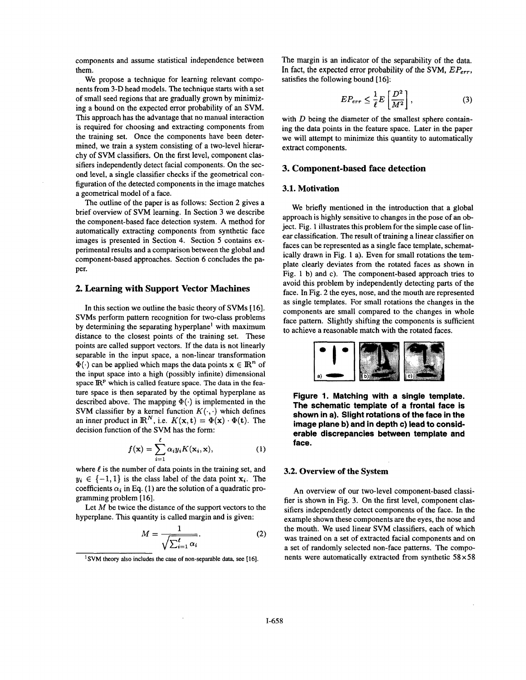components and assume statistical independence between them.

We propose a technique for learning relevant components from 3-D head models. The technique starts with a set of small seed regions that are gradually grown by minimizing a bound on the expected error probability of an SVM. This approach has the advantage that no manual interaction is required for choosing and extracting components from the training set. Once the components have been determined, we train a system consisting of a two-level hierarchy of SVM classifiers. On the first level, component classifiers independently detect facial components. On the second level, a single classifier checks if the geometrical configuration of the detected components in the image matches a geometrical model of a face.

The outline of the paper is as follows: Section 2 gives a brief overview of SVM learning. In Section 3 we describe the component-based face detection system. A method for automatically extracting components from synthetic face images is presented in Section **4.** Section *5* contains experimental results and a comparison between the global and component-based approaches. Section 6 concludes the paper.

#### **2. Learning with Support Vector Machines**

In this section we outline the basic theory of SVMs [16]. SVMs perform pattern recognition for two-class problems by determining the separating hyperplane' with maximum distance to the closest points of the training set. These points are called support vectors. If the data is not linearly separable in the input space, a non-linear transformation  $\Phi(\cdot)$  can be applied which maps the data points  $\mathbf{x} \in \mathbb{R}^n$  of the input space into a high (possibly infinite) dimensional space  $\mathbb{R}^p$  which is called feature space. The data in the feature space is then separated by the optimal hyperplane as described above. The mapping  $\Phi(\cdot)$  is implemented in the SVM classifier by a kernel function  $K(\cdot, \cdot)$  which defines an inner product in  $\mathbb{R}^N$ , i.e.  $K(\mathbf{x}, \mathbf{t}) = \Phi(\mathbf{x}) \cdot \Phi(\mathbf{t})$ . The decision function of the SVM has the form:

$$
f(\mathbf{x}) = \sum_{i=1}^{\ell} \alpha_i y_i K(\mathbf{x}_i, \mathbf{x}), \qquad (1)
$$

where  $\ell$  is the number of data points in the training set, and  $y_i \in \{-1,1\}$  is the class label of the data point  $x_i$ . The coefficients  $\alpha_i$  in Eq. (1) are the solution of a quadratic programming problem [ 161.

Let *M* be twice the distance of the support vectors to the hyperplane. This quantity is called margin and is given:

$$
M = \frac{1}{\sqrt{\sum_{i=1}^{\ell} \alpha_i}}.
$$
 (2)

The margin is an indicator of the separability of the data. In fact, the expected error probability of the SVM,  $EP_{err}$ , satisfies the following bound [16]:

$$
EP_{err} \leq \frac{1}{\ell} E\left[\frac{D^2}{M^2}\right],\tag{3}
$$

with  $D$  being the diameter of the smallest sphere containing the data points in the feature space. Later in the paper we will attempt to minimize this quantity to automatically extract components.

#### **3. Component-based face detection**

### **3.1. Motivation**

We briefly mentioned in the introduction that a global approach is highly sensitive to changes in the pose of an object. Fig. 1 illustrates this problem for the simple case of linear classification. The result of training a linear classifier on faces can be represented **as** a single face template, schematically drawn in Fig. 1 a). Even for small rotations the template clearly deviates from the rotated faces **as** shown in Fig. 1 b) and c). The component-based approach tries to avoid this problem by independently detecting parts of the face. In Fig. 2 the eyes, nose, and the mouth are represented as single templates. For small rotations the changes in the components are small compared to the changes in whole face pattern. Slightly shifting the components is sufficient to achieve a reasonable match with the rotated faces.



**Figure 1. Matching with a single template.**  The schematic template of a frontal face is **shown in a). Slight rotations of the face in the image plane b) and in depth c) lead to considerable discrepancies between template and face.** 

#### **3.2. Overview of the System**

An overview of our two-level component-based classifier is shown in Fig. 3. On the first level, component classifiers independently detect components of the face. In the example shown these components are the eyes, the nose and the mouth. We used linear SVM classifiers, each of which was trained on a set of extracted facial components and on a set of randomly selected non-face patterns. The components were automatically extracted from synthetic 58 **x** 58

**SVM** theory also includes the case of non-separable data, **see [16].**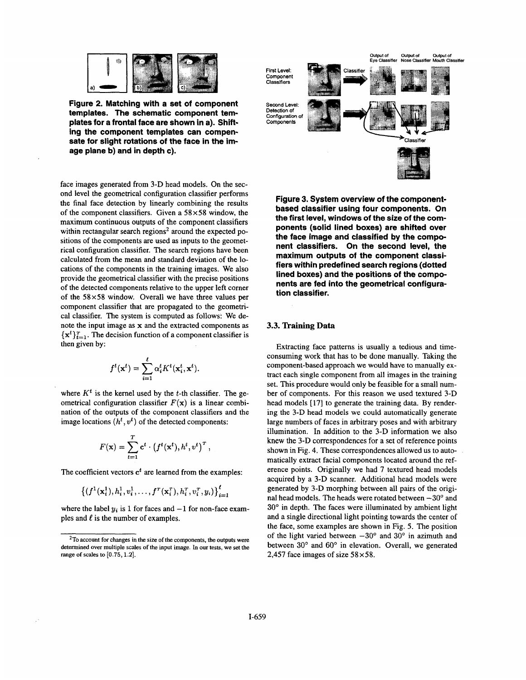

**Figure 2. Matching with a set of component templates. The schematic component templates for a frontal face are shown in a). Shifting the component templates can compensate for slight rotations of the face in the image plane b) and in depth c).** 

face images generated from 3-D head models. On the second level the geometrical configuration classifier performs the final face detection by linearly combining the results of the component classifiers. Given a  $58\times58$  window, the maximum continuous outputs of the component classifiers within rectangular search regions<sup>2</sup> around the expected positions of the components are used as inputs to the geometrical configuration classifier. The search regions have been calculated from the mean and standard deviation of the locations of the components in the training images. We also provide the geometrical classifier with the precise positions of the detected components relative to the upper left corner of the  $58\times58$  window. Overall we have three values per component classifier that are propagated to the geometrical classifier. The system is computed **as** follows: We denote the input image as *x* and the extracted components **as**   ${x<sup>t</sup>}_{t=1}^T$ . The decision function of a component classifier is then given by:

$$
f^t(\mathbf{x}^t) = \sum_{i=1}^{\ell} \alpha_i^t K^t(\mathbf{x}_i^t, \mathbf{x}^t).
$$

where  $K<sup>t</sup>$  is the kernel used by the *t*-th classifier. The geometrical configuration classifier  $F(\mathbf{x})$  is a linear combination of the outputs of the component classifiers and the image locations  $(h<sup>t</sup>, v<sup>t</sup>)$  of the detected components:

$$
F(\mathbf{x}) = \sum_{t=1}^{T} \mathbf{c}^t \cdot (f^t(\mathbf{x}^t), h^t, v^t)^T,
$$

The coefficient vectors  $c<sup>t</sup>$  are learned from the examples:

$$
\big\{(f^1(\mathbf{x}^1_i), h^1_i, v^1_i, \dots, f^T(\mathbf{x}^{\scriptscriptstyle T}_i), h^{\scriptscriptstyle T}_i, v^{\scriptscriptstyle T}_i, y_i)\big\}_{i=1}^{\ell}
$$

where the label  $y_i$  is 1 for faces and  $-1$  for non-face examples and  $\ell$  is the number of examples.



**Figure 3. System overview of the componentbased classifier using four components. On the first level, windows of the size of the components (solid lined boxes) are shifted over the face image and classified by the component classifiers. On the second level, the maximum outputs of the component classifiers within predefined search regions (dotted lined boxes) and the positions of the components are fed into the geometrical configuration classifier.** 

#### **3.3. Training Data**

Extracting face patterns is usually a tedious and timeconsuming work that has to be done manually. Taking the component-based approach we would have to manually extract each single component from all images in the training set. This procedure would only be feasible for a small number of components. For this reason we used textured 3-D head models [17] to generate the training data. By rendering the 3-D head models we could automatically generate large numbers of faces in arbitrary poses and with arbitrary illumination. In addition to the 3-D information we also knew the 3-D correspondences for a set of reference points shown in [Fig.](#page-3-0) **4.** These correspondences allowed us to automatically extract facial components located around the reference points. Originally we had 7 textured head models acquired by a 3-D scanner. Additional head models were generated by 3-D morphing between all pairs of the original head models. The heads were rotated between  $-30^{\circ}$  and 30" in depth. The faces were illuminated by ambient light and a single directional light pointing towards the center of the face, some examples are shown in [Fig.](#page-3-0) 5. The position of the light varied between  $-30^{\circ}$  and  $30^{\circ}$  in azimuth and between 30° and 60° in elevation. Overall, we generated 2,457 face images of size  $58 \times 58$ .

**<sup>\*</sup>To account for changes in the size of the components,** the **outputs were determined over multiple scales of the input image. In our tests, we set the range of scales to [0.75,1.2].**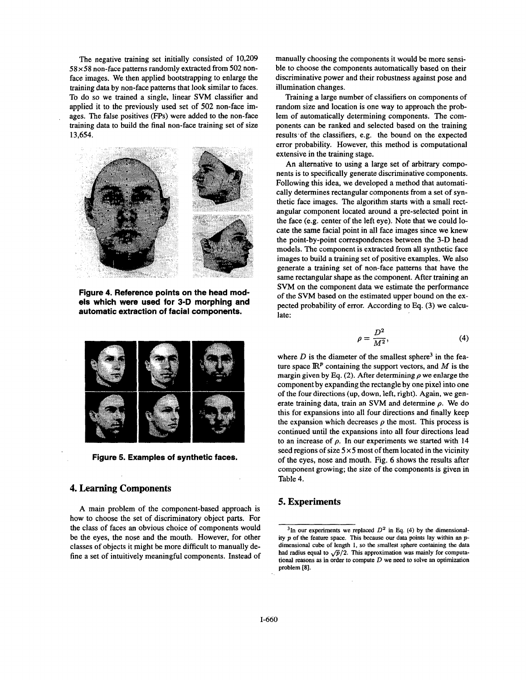<span id="page-3-0"></span>The negative training set initially consisted of 10,209 **58x58** non-face patterns randomly extracted from 502 nonface images. We then applied bootstrapping to enlarge the training data by non-face patterns that look similar to faces. To do so we trained a single, linear SVM classifier and applied it to the previously used set of 502 non-face images. The false positives (FPs) were added to the non-face training data to build the final non-face training set of size 13,654.



**Figure 4. Reference points on the head models which were used for 3-D morphing and automatic extraction of facial components.** 



**Figure 5. Examples of synthetic faces.** 

## **4. Learning Components**

A main problem of the component-based approach is how to choose the set of discriminatory object parts. For the class of faces an obvious choice of components would be the eyes, the nose and the mouth. However, for other classes of objects it might be more difficult to manually define a set of intuitively meaningful components. Instead of manually choosing the components it would be more sensible to choose the components automatically based on their discriminative power and their robustness against pose and illumination changes.

Training a large number of classifiers on components of random size and location is one way to approach the problem of automatically determining components. The components can be ranked and selected based on the training results of the classifiers, e.g. the bound on the expected error probability. However, this method is computational extensive in the training stage.

An alternative to using a large set of arbitrary components is to specifically generate discriminative components. Following this idea, we developed a method that automatically determines rectangular components **from** a set of synthetic face images. The algorithm starts with a small rectangular component located around a pre-selected point in the face (e.g. center of the left eye). Note that we could locate the same facial point in all face images since we knew the point-by-point correspondences between the 3-D head models. The component is extracted from all synthetic face images to build a training set of positive examples. We also generate **a** training set of non-face patterns that have the same rectangular shape as the component. After training an **SVM** on the component data we estimate the performance of the **SVM** based on the estimated upper bound on the expected probability of error. According to Eq. (3) we calcu-<br>late:<br> $\rho = \frac{D^2}{M^2}$ , (4) late:

$$
\rho = \frac{D^2}{M^2},\tag{4}
$$

where  $D$  is the diameter of the smallest sphere<sup>3</sup> in the feature space  $\mathbb{R}^p$  containing the support vectors, and M is the margin given by Eq.  $(2)$ . After determining  $\rho$  we enlarge the component by expanding the rectangle by one pixel into one of the four directions (up, down, left, right). Again, we generate training data, train an SVM and determine *p.* We do this for expansions into all four directions and finally keep the expansion which decreases  $\rho$  the most. This process is continued until the expansions into all four directions lead to an increase of  $\rho$ . In our experiments we started with 14 seed regions of size  $5 \times 5$  most of them located in the vicinity of the eyes, nose and mouth. [Fig. 6](#page-4-0) shows the results after component growing; the size of the components is given in Table 4.

### **5. Experiments**

 $3$ In our experiments we replaced  $D^2$  in Eq. (4) by the dimensionality p of the feature space. This because **our** data points lay within **an** *p*dimensional cube of length **1, so** the smallest sphere containing the data had radius equal to  $\sqrt{p}/2$ . This approximation was mainly for computational reasons **as** in order **to** compute *I)* we **need** *to* solve **an** optimization problem **[8].**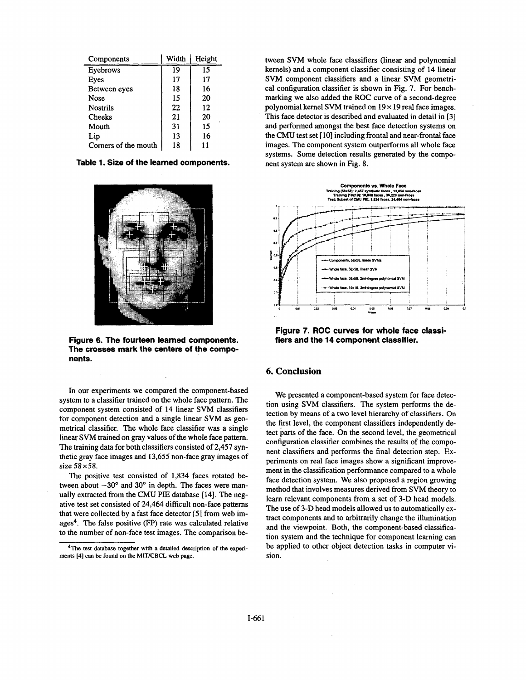<span id="page-4-0"></span>

| Components           | Width | Height |
|----------------------|-------|--------|
| Eyebrows             | 19    | 15     |
| Eyes                 | 17    | 17     |
| Between eyes         | 18    | 16     |
| Nose                 | 15    | 20     |
| <b>Nostrils</b>      | 22    | 12     |
| Cheeks               | 21    | 20     |
| Mouth                | 31    | 15     |
| Lip                  | 13    | 16     |
| Corners of the mouth | 18    | 11     |

**Table 1. Size of the learned components.** 



**Figure 6. The fourteen learned components. The crosses mark the centers of the components.** 

In our experiments we compared the component-based system to a classifier trained on the whole face pattern. The component system consisted of **14** linear **SVM** classifiers for component detection and a single linear SVM as geometrical classifier. The whole face classifier was a single linear **SVM** trained on gray values of the whole face pattern. The training data for both classifiers consisted of **2,457** synthetic gray face images and 13,655 non-face gray images of size  $58\times58$ .

The positive test consisted of **1,834** faces rotated between about  $-30^{\circ}$  and  $30^{\circ}$  in depth. The faces were manually extracted from the CMU PIE database **[14].** The negative test set consisted of **24,464** difficult non-face patterns that were collected by a fast face detector **[5]** from web images4. The false positive **(FP)** rate was calculated relative **to** the number of non-face test images. The comparison between SVM whole face classifiers (linear and polynomial kernels) and a component classifier consisting of **14** linear SVM component classifiers and a linear SVM geometrical configuration classifier is shown in Fig. **7.** For benchmarking we also added the ROC curve of a second-degree polynomial kernel SVM trained on **19 x** 19 real face images. This face detector is described and evaluated in detail in **[3]**  and performed amongst the best face detection systems on the CMU test set [ 101 including frontal and near-frontal face images. The component system outperforms all whole face systems. Some detection results generated by the component system are shown in [Fig.](#page-5-0) **8.** 



**Figure 7. ROC curves for whole face classifiers and the 14 component classifier.** 

### **6. Conclusion**

We presented a component-based system for face detection using SVM classifiers. The system performs the detection by means of a two level hierarchy of classifiers. On the first level, the component classifiers independently detect parts of the face. On the second level, the geometrical configuration classifier combines the results of the component classifiers and performs the final detection step. Experiments on real face images show a significant improvement in the classification performance compared to a whole face detection system. We also proposed a region growing method that involves measures derived from SVM theory to learn relevant components from a set of **3-D** head models. The use of **3-D** head models allowed us to automatically extract components and to arbitrarily change the illumination and the viewpoint. Both, the component-based classification system and the technique for component learning can be applied to other object detection tasks in computer vision.

**<sup>4</sup>The test database together with a detailed description of the experi**ments [4] can be found on the MIT/CBCL web page.